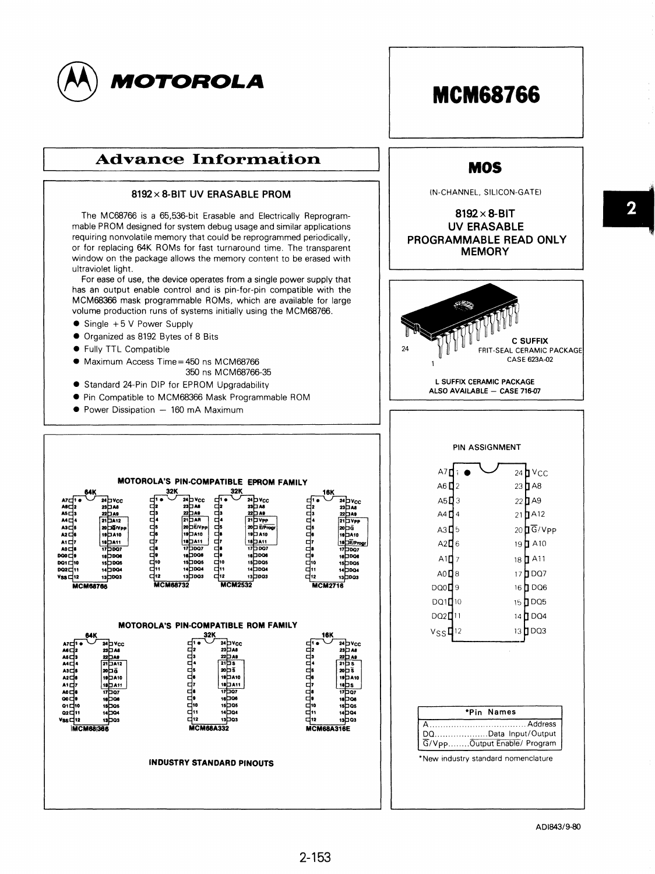

# **Advance Information**

#### **8192x8-BIT UV ERASABLE PROM**

The MC68766 is a 65,536-bit Erasable and Electrically Reprogrammabie PROM designed for system debug usage and similar applications requiring nonvolatile memory that could be reprogrammed periodically, or for replacing 64K ROMs for fast turnaround time. The transparent window on the package allows the memory content to be erased with ultraviolet light.

For ease of use, the device operates from a single power supply that has an output enable control and is pin-for-pin compatible with the MCM68366 mask programmable ROMs, which are available for large volume production runs of systems initially using the MCM68766.

- Single +5 V Power Supply
- Organized as 8192 Bytes of 8 Bits
- Fully TTL Compatible
- Maximum Access Time=450 ns MCM68766 350 ns MCM68766-35
- Standard 24-Pin DIP for EPROM Upgradability
- Pin Compatible to MCM68366 Mask Programmable ROM
- Power Dissipation 160 mA Maximum



# **MCM68766**

(N-CHANNEL, SILICON-GATE)

## **8192x8-BIT UV ERASABLE PROGRAMMABLE READ ONLY MEMORY**



PIN ASSIGNMENT



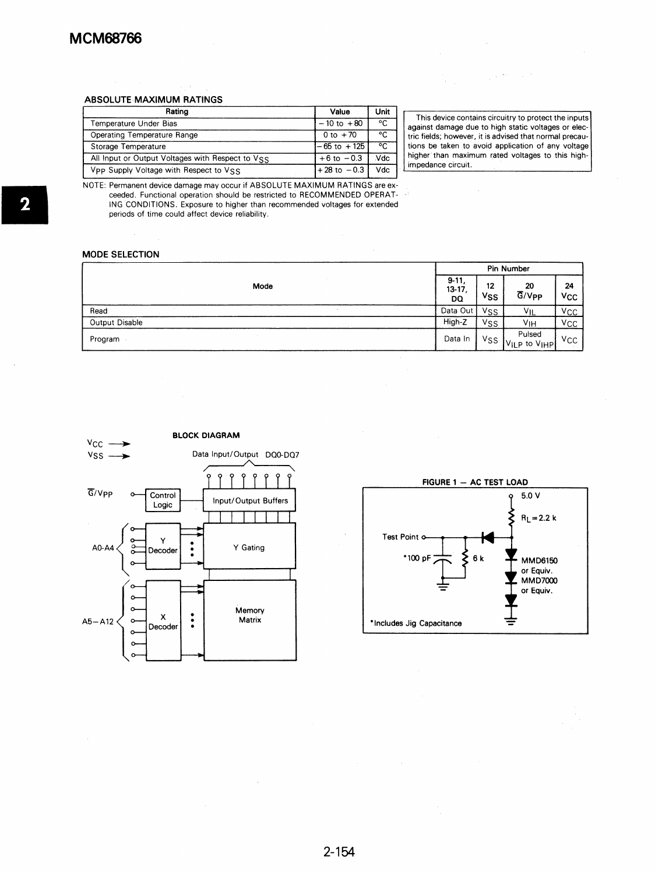#### ABSOLUTE MAXIMUM RATINGS

| Rating                                           | Value           | Unit |
|--------------------------------------------------|-----------------|------|
| Temperature Under Bias                           | $-10$ to $+80$  | °C   |
| Operating Temperature Range                      | $0 to +70$      | ۰c   |
| Storage Temperature                              | $-65$ to $+125$ | °C   |
| All Input or Output Voltages with Respect to VSS | $+6$ to $-0.3$  | Vdc  |
| Vpp Supply Voltage with Respect to VSS           | $+28$ to $-0.3$ | Vdc  |

**This device contains circuitry to protect the inputs**  against damage due to high static voltages or elec**tric fields; however, it is advised that normal precau**tions be taken to avoid application of any voltage higher"than maximum rated voltages to this high**impedance circuit.** 

NOTE: Permanent device damage may occur if ABSOLUTE MAXIMUM RATINGS are exceeded. Functional operation should be restricted to RECOMMENDED OPERAT-ING CONDITIONS. Exposure to higher than recommended voltages for extended periods of time could affect device reliability.

#### MODE SELECTION

|                |                            | Pin Number            |                             |                       |  |  |  |  |
|----------------|----------------------------|-----------------------|-----------------------------|-----------------------|--|--|--|--|
| Mode           | $9 - 11$<br>$13-17,$<br>DQ | 12<br>Vss             | 20<br>$\overline{G}/V_{PP}$ | 24<br>$V_{CC}$        |  |  |  |  |
| Read           | Data Out                   | <b>V<sub>SS</sub></b> | VIL                         | <b>V<sub>CC</sub></b> |  |  |  |  |
| Output Disable | High-Z                     | $V_{SS}$              | VIH                         | $V_{CC}$              |  |  |  |  |
| Program        | Data In                    | $v_{SS}$              | Pulsed<br>VILP to VIHP      | $V_{CC}$              |  |  |  |  |



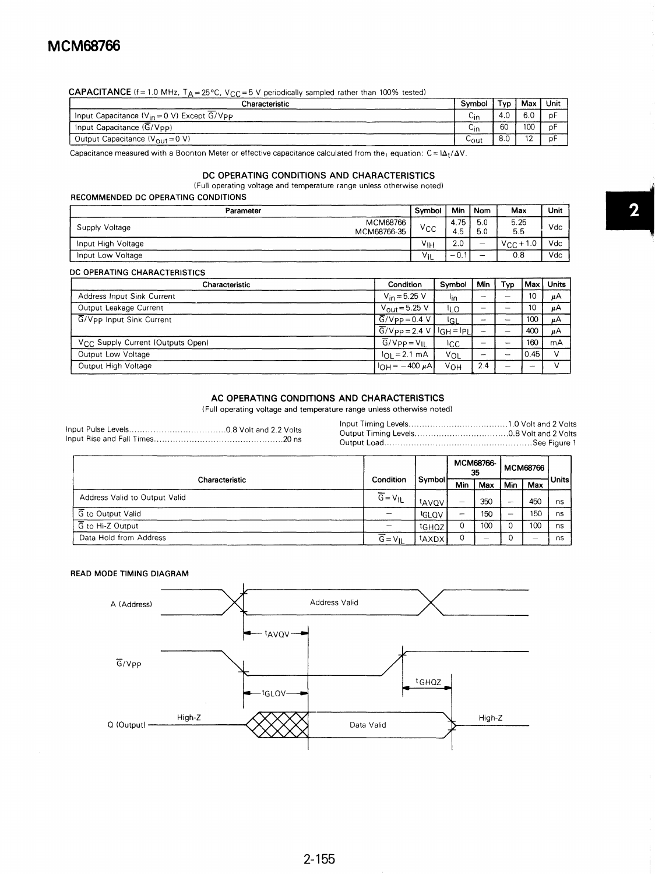# **MCM68766**

| Characteristic                                  | Symbol     | Typ |        | Max   Unit |
|-------------------------------------------------|------------|-----|--------|------------|
| Input Capacitance $(V_{in} = 0 V)$ Except G/Vpp | <b>Gir</b> | 4.0 | 6.0    | 0F         |
| Input Capacitance (G/Vpp)                       | ∪iη        | 60  | 100    | nF         |
| Output Capacitance $(V_{\text{out}} = 0 V)$     | $-011$     | 8.0 | $\sim$ | пF         |

#### **CAPACITANCE** (f=1.0 MHz,  $T_A = 25^{\circ}$ C,  $V_{CC} = 5$  V periodically sampled rather than 100% tested)

Capacitance measured with a Boonton Meter or effective capacitance calculated from the<sub>l</sub> equation:  $C = I\Delta_t/\Delta V$ .

#### DC OPERATING CONDITIONS AND CHARACTERISTICS

**(Full operating voltage and temperature range unless otherwise noted)** 

## RECOMMENDED DC OPERATING CONDITIONS

| Parameter          |                         | Symbol   | Min             | Nom                      | Max                    | Unit |
|--------------------|-------------------------|----------|-----------------|--------------------------|------------------------|------|
| Supply Voltage     | MCM68766<br>MCM68766-35 | Vcc      | 4.75<br>4.5     | 5.0<br>5.0               | 5.25<br>5.5            | Vdc  |
| Input High Voltage |                         | ۷ıн      | 2.0             | _                        | .0<br>$V_{\rm CC}$ + 1 | Vdc  |
| Input Low Voltage  |                         | $V_{IL}$ | $\sim$<br>$-0.$ | $\overline{\phantom{a}}$ | 0.8                    | Vdc  |

#### DC OPERATING CHARACTERISTICS

| Characteristic                                | Condition                         | Symbol     | <b>Min</b>   | Typ | Max  | Units         |
|-----------------------------------------------|-----------------------------------|------------|--------------|-----|------|---------------|
| Address Input Sink Current                    | $V_{in} = 5.25 V$                 | ۱in        | -            |     | 10   | $\mu$ A       |
| Output Leakage Current                        | $V_{\text{out}} = 5.25 \text{ V}$ | ١LO        |              |     | 10   | μA            |
| G/Vpp Input Sink Current                      | $G/Vpp = 0.4 V$                   | lgL        |              |     | 100  | μA            |
|                                               | $\overline{G}/Vpp = 2.4 V$        | $ GH= PL $ |              |     | 400  | $\mu$ A       |
| V <sub>CC</sub> Supply Current (Outputs Open) | $\overline{G}/V_{PP} = V_{II}$    | Icc        |              |     | 160  | mA            |
| Output Low Voltage                            | $ _{\bigcap}$ = 2.1 mA            | <b>VOL</b> | and the con- |     | 0.45 | $\mathcal{U}$ |
| Output High Voltage                           | $1_{OH} = -400 \mu A$             | VOH        | 2.4          |     |      |               |

#### AC OPERATING CONDITIONS AND CHARACTERISTICS

(Full operating voltage and temperature range unless otherwise noted)

|                               |                         |                   |          | MCM68766-<br>35 | MCM68766     |     |       |
|-------------------------------|-------------------------|-------------------|----------|-----------------|--------------|-----|-------|
| Characteristic                | Condition               | Svmbol            | Min      | Max             | <b>Min</b>   | Max | Units |
| Address Valid to Output Valid | $\overline{G} = V_{1L}$ | tavov             | -        | 350             | <b>STATE</b> | 450 | ns    |
| G to Output Valid             |                         | <sup>t</sup> GLQV |          | 150             | -            | 150 | ns    |
| G to Hi-Z Output              |                         | tGHQZ             | 0        | 100             |              | 100 | ns    |
| Data Hold from Address        | $\overline{G} = V_H$    | taxpx             | $\Omega$ | -               | 0            |     | ns    |

#### READ MODE TIMING DIAGRAM

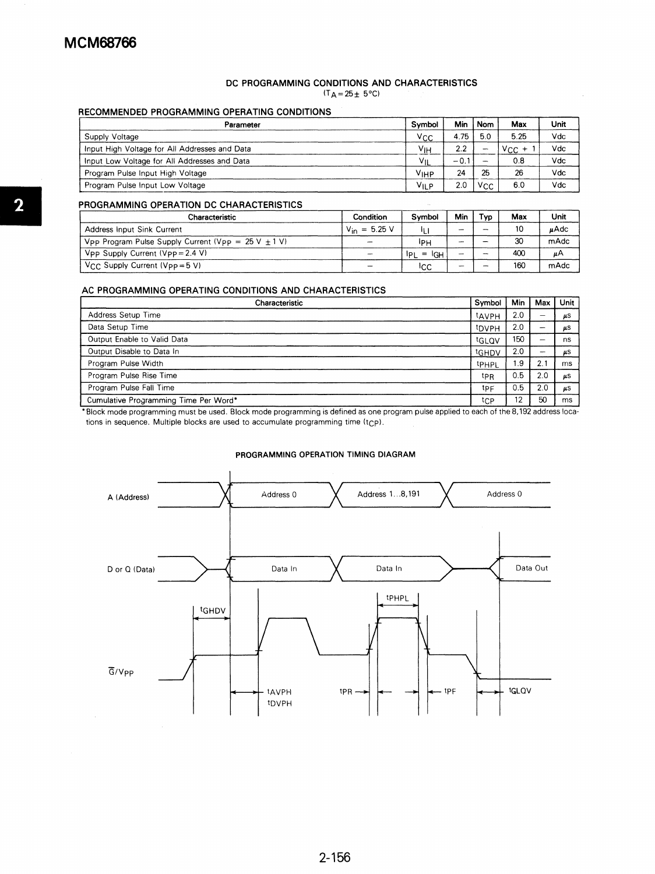## DC PROGRAMMING CONDITIONS AND CHARACTERISTICS

 $(T_A = 25 \pm 5$ °C)

#### RECOMMENDED PROGRAMMING OPERATING CONDITIONS

| Parameter                                     | Symbol          | Min   | Nom      | Max        | Unit |
|-----------------------------------------------|-----------------|-------|----------|------------|------|
| Supply Voltage                                | $V_{CC}$        | 4.75  | 5.0      | 5.25       | Vdc  |
| Input High Voltage for All Addresses and Data | Vін             | 2.2   |          | $V_{CC}$ + | Vdc  |
| Input Low Voltage for All Addresses and Data  | $V_{\text{IL}}$ | $-0.$ |          | 0.8        | Vdc  |
| Program Pulse Input High Voltage              | VIHP            | 24    | 25       | 26         | Vdc  |
| Program Pulse Input Low Voltage               | VILP            |       | $V_{CC}$ | 6.0        | Vdc  |

#### PROGRAMMING OPERATION DC CHARACTERISTICS

| Characteristic                                           | Condition         | Symbol                               | Min | Tvp         | Max | Unit        |
|----------------------------------------------------------|-------------------|--------------------------------------|-----|-------------|-----|-------------|
| Address Input Sink Current                               | $V_{in} = 5.25 V$ | ΙLΙ                                  |     | <b>Book</b> | 10  | <b>uAdc</b> |
| Vpp Program Pulse Supply Current (Vpp = $25 V \pm 1 V$ ) |                   | IPH                                  | $-$ | -           | 30  | mAdc        |
| Vpp Supply Current (Vpp = $2.4$ V)                       |                   | <sup>I</sup> GH<br><b>IPL</b><br>$=$ |     | --          | 400 | μA          |
| $V_{CC}$ Supply Current (Vpp = 5 V)                      |                   | Icc                                  |     | -           | 160 | mAdc        |

#### AC PROGRAMMING OPERATING CONDITIONS AND CHARACTERISTICS

| Characteristic                        | Symbol            | <b>Min</b> | Max | Unit    |
|---------------------------------------|-------------------|------------|-----|---------|
| Address Setup Time                    | tAVPH             | 2.0        |     | $\mu$ S |
| Data Setup Time                       | t <sub>DVPH</sub> | 2.0        |     | $\mu$ S |
| Output Enable to Valid Data           | tGLOV             | 150        |     | ns      |
| Output Disable to Data In             | tGHDV             | 2.0        |     | $\mu$ S |
| Program Pulse Width                   | tPHPL             | i.9        |     | ms      |
| Program Pulse Rise Time               | tPR               | 0.5        | 2.0 | $\mu$ S |
| Program Pulse Fall Time               | tpF               | 0.5        | 2.0 | $\mu$ S |
| Cumulative Programming Time Per Word* | tCP               | 12         | 50  | ms      |

12 50 ms , Block mode programming must be used. Block mode programming IS defined as one program pulse applied to each of the B, 192 address locations in sequence. Multiple blocks are used to accumulate programming time (tcp).

#### PROGRAMMING OPERATION TIMING DIAGRAM